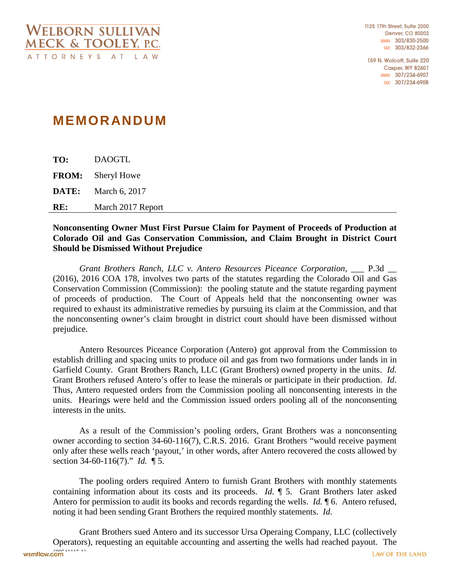1125 17th Street, Suite 2200 **Denver, CO 80202** MAIN: 303/830-2500 FAX: 303/832-2366

159 N. Wolcott, Suite 220 **Casper, WY 82601** MAIN: 307/234-6907 FAX: 307/234-6908

## **MEMORANDUM**

**TO:** DAOGTL **FROM:** Sheryl Howe **DATE:** March 6, 2017 **RE:** March 2017 Report

## **Nonconsenting Owner Must First Pursue Claim for Payment of Proceeds of Production at Colorado Oil and Gas Conservation Commission, and Claim Brought in District Court Should be Dismissed Without Prejudice**

*Grant Brothers Ranch, LLC v. Antero Resources Piceance Corporation, \_\_\_ P.3d \_\_* (2016), 2016 COA 178, involves two parts of the statutes regarding the Colorado Oil and Gas Conservation Commission (Commission): the pooling statute and the statute regarding payment of proceeds of production. The Court of Appeals held that the nonconsenting owner was required to exhaust its administrative remedies by pursuing its claim at the Commission, and that the nonconsenting owner's claim brought in district court should have been dismissed without prejudice.

Antero Resources Piceance Corporation (Antero) got approval from the Commission to establish drilling and spacing units to produce oil and gas from two formations under lands in in Garfield County. Grant Brothers Ranch, LLC (Grant Brothers) owned property in the units. *Id.* Grant Brothers refused Antero's offer to lease the minerals or participate in their production. *Id.* Thus, Antero requested orders from the Commission pooling all nonconsenting interests in the units. Hearings were held and the Commission issued orders pooling all of the nonconsenting interests in the units.

As a result of the Commission's pooling orders, Grant Brothers was a nonconsenting owner according to section 34-60-116(7), C.R.S. 2016. Grant Brothers "would receive payment only after these wells reach 'payout,' in other words, after Antero recovered the costs allowed by section 34-60-116(7)." *Id.* ¶ 5.

The pooling orders required Antero to furnish Grant Brothers with monthly statements containing information about its costs and its proceeds. *Id.* ¶ 5. Grant Brothers later asked Antero for permission to audit its books and records regarding the wells. *Id.* ¶ 6. Antero refused, noting it had been sending Grant Brothers the required monthly statements. *Id.*

Grant Brothers sued Antero and its successor Ursa Operaing Company, LLC (collectively Operators), requesting an equitable accounting and asserting the wells had reached payout. The wsmtlaw.com<sup>1</sup> LAW OF THE LAND.